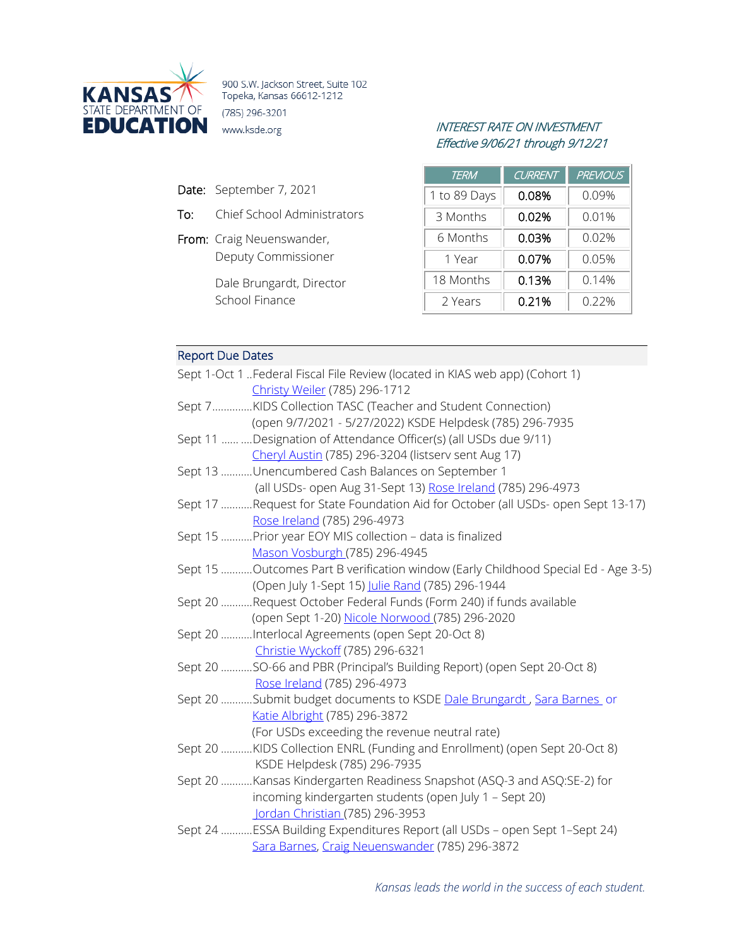

900 S.W. Jackson Street, Suite 102 Topeka, Kansas 66612-1212 (785) 296-3201

- Date: September 7, 2021
- To: Chief School Administrators
- From: Craig Neuenswander, Deputy Commissioner

Dale Brungardt, Director School Finance

## INTEREST RATE ON INVESTMENT Effective 9/06/21 through 9/12/21

| TERM         | <b>CURRENT</b> | <b>PREVIOUS</b> |
|--------------|----------------|-----------------|
| 1 to 89 Days | 0.08%          | 0.09%           |
| 3 Months     | 0.02%          | 0.01%           |
| 6 Months     | 0.03%          | 0.02%           |
| 1 Year       | 0.07%          | 0.05%           |
| 18 Months    | 0.13%          | 0.14%           |
| 2 Years      | 0.21%          | 0.22%           |

# Report Due Dates

| Sept 1-Oct 1 Federal Fiscal File Review (located in KIAS web app) (Cohort 1)       |
|------------------------------------------------------------------------------------|
| Christy Weiler (785) 296-1712                                                      |
| Sept 7KIDS Collection TASC (Teacher and Student Connection)                        |
| (open 9/7/2021 - 5/27/2022) KSDE Helpdesk (785) 296-7935                           |
| Sept 11   Designation of Attendance Officer(s) (all USDs due 9/11)                 |
| Cheryl Austin (785) 296-3204 (listserv sent Aug 17)                                |
| Sept 13 Unencumbered Cash Balances on September 1                                  |
| (all USDs- open Aug 31-Sept 13) Rose Ireland (785) 296-4973                        |
| Sept 17 Request for State Foundation Aid for October (all USDs- open Sept 13-17)   |
| Rose Ireland (785) 296-4973                                                        |
| Sept 15 Prior year EOY MIS collection - data is finalized                          |
| Mason Vosburgh (785) 296-4945                                                      |
| Sept 15 Outcomes Part B verification window (Early Childhood Special Ed - Age 3-5) |
| (Open July 1-Sept 15) Julie Rand (785) 296-1944                                    |
| Sept 20 Request October Federal Funds (Form 240) if funds available                |
| (open Sept 1-20) Nicole Norwood (785) 296-2020                                     |
| Sept 20 Interlocal Agreements (open Sept 20-Oct 8)                                 |
| Christie Wyckoff (785) 296-6321                                                    |
| Sept 20 SO-66 and PBR (Principal's Building Report) (open Sept 20-Oct 8)           |
| Rose Ireland (785) 296-4973                                                        |
| Sept 20 Submit budget documents to KSDE Dale Brungardt, Sara Barnes or             |
| Katie Albright (785) 296-3872                                                      |
| (For USDs exceeding the revenue neutral rate)                                      |
| Sept 20 KIDS Collection ENRL (Funding and Enrollment) (open Sept 20-Oct 8)         |
| KSDE Helpdesk (785) 296-7935                                                       |
| Sept 20 Kansas Kindergarten Readiness Snapshot (ASQ-3 and ASQ:SE-2) for            |
| incoming kindergarten students (open July 1 - Sept 20)                             |
| Jordan Christian (785) 296-3953                                                    |
| Sept 24 ESSA Building Expenditures Report (all USDs - open Sept 1-Sept 24)         |
| Sara Barnes, Craig Neuenswander (785) 296-3872                                     |
|                                                                                    |

*Kansas leads the world in the success of each student.*